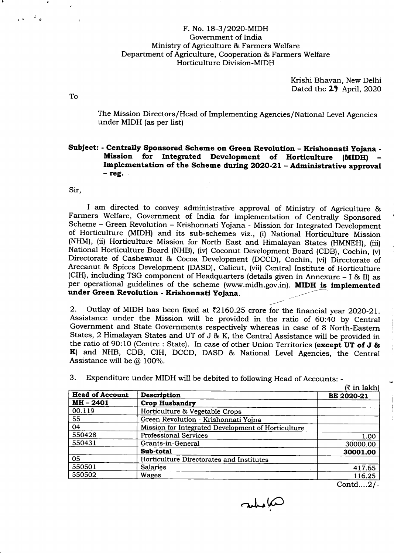# F. No. L8-3|2O2O-MIDH Government of India Ministry of Agriculture & Farmers Welfare Department of Agriculture, Cooperation & Farmers Welfare Horticulture Division-MIDH

Krishi Bhavan, New Delhi Dated the 29 April, 2020

To

I

The Mission Directors/Head of Implementing Agencies/National Level Agencies under MIDH (as per list)

# SubJect: - Centrally Sponsored Scheme on Green Revolution - Krishonnati Yojana for Integrated Development of Horticulture (MIDH) Implementation of the Scheme during 2O2O-2L - Administrative approval  $-$  reg.  $\overline{\phantom{a}}$

Sir,

I am directed to convey administrative approval of Ministry of Agriculture & Farmers Welfare, Government of India for implementation of Centrally Sponsored<br>Scheme – Green Revolution – Krishonnati Yojana - Mission for Integrated Development of Horticulture (MIDH) and its sub-schemes viz., (i) National Horticulture Mission (NHM), (ii) Horticulture Mission for North East and Himalayan states (HMNEH), (iii) National Horticulture Board (NHB), (iv) Coconut Development Board (CDB), Cochin, (v) Directorate of Cashewnut & Cocoa Development (DCCD), Cochin, (vi) Directorate of Arecanut & Spices Development (DASD), Calicut, (vii) Central Institute of Horticulture (CIH), including TSG component of Headquarters (details given in Annexure - I & II) as per operational guidelines of the scheme (www.midh.gov.in). MIDH is implemented under Green Revolution - Krishonnati Yojana

2. Outlay of MIDH has been fixed at  $\text{\textsterling}2160.25$  crore for the financial year 2020-21. Assistance under the Mission will be provided in the ratio of 60:40 by Central Government and State Governments respectively whereas in case of 8 North-Eastern States, 2 Himalayan States and UT of J & K, the Central Assistance will be provided in the ratio of 90:10 (Centre : State). In case of other Union Territories (except UT of J & K) and NHB, CDB, CIH, DCCD, DASD & National Level Agencies, the Central Assistance will be  $@$  100%.

|                        |                                                    | (₹ in lakh) |
|------------------------|----------------------------------------------------|-------------|
| <b>Head of Account</b> | Description                                        | BE 2020-21  |
| MH-2401                | <b>Crop Husbandry</b>                              |             |
| 00.119                 | Horticulture & Vegetable Crops                     |             |
| 55                     | Green Revolution - Krishonnati Yojna               |             |
| 04                     | Mission for Integrated Development of Horticulture |             |
| 550428                 | <b>Professional Services</b>                       | 1.00        |
| 550431                 | Grants-in-General                                  | 30000.00    |
|                        | Sub-total                                          | 30001.00    |
| 05                     | Horticulture Directorates and Institutes           |             |
| 550501                 | <b>Salaries</b>                                    | 417.65      |
| 550502                 | Wages                                              | 116.25      |
|                        |                                                    | .           |

3. Expenditure under MIDH will be debited to following Head of Accounts: -

Contd....2 / -

raches VO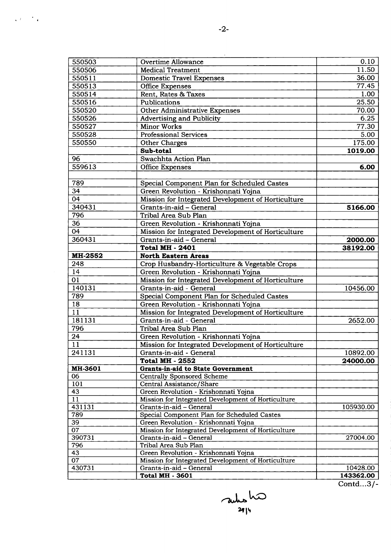|                        | <b>Overtime Allowance</b>                                              | 0.10           |
|------------------------|------------------------------------------------------------------------|----------------|
| 550503                 |                                                                        | 11.50          |
| 550506                 | <b>Medical Treatment</b>                                               |                |
| 550511                 | <b>Domestic Travel Expenses</b>                                        | 36.00<br>77.45 |
| 550513                 | <b>Office Expenses</b>                                                 |                |
| 550514                 | Rent, Rates & Taxes                                                    | 1.00           |
| 550516                 | Publications                                                           | 25.50          |
| 550520                 | Other Administrative Expenses                                          | 70.00          |
| 550526                 | <b>Advertising and Publicity</b>                                       | 6.25           |
| 550527                 | Minor Works                                                            | 77.30          |
| 550528                 | <b>Professional Services</b>                                           | 5.00           |
| 550550                 | Other Charges                                                          | 175.00         |
|                        | Sub-total                                                              | 1019.00        |
| 96                     | Swachhta Action Plan                                                   |                |
| 559613                 | <b>Office Expenses</b>                                                 | 6.00           |
| 789                    | Special Component Plan for Scheduled Castes                            |                |
| $3\overline{4}$        | Green Revolution - Krishonnati Yojna                                   |                |
| $\overline{04}$        | Mission for Integrated Development of Horticulture                     |                |
| 340431                 | Grants-in-aid - General                                                | 5166.00        |
| 796                    | Tribal Area Sub Plan                                                   |                |
| 36                     | Green Revolution - Krishonnati Yojna                                   |                |
| 0 <sub>4</sub>         | Mission for Integrated Development of Horticulture                     |                |
| 360431                 | Grants-in-aid - General                                                | 2000.00        |
|                        | <b>Total MH - 2401</b>                                                 | 38192.00       |
| MH-2552                | <b>North Eastern Areas</b>                                             |                |
| 248                    | Crop Husbandry-Horticulture & Vegetable Crops                          |                |
| 14                     | Green Revolution - Krishonnati Yojna                                   |                |
| 01                     | Mission for Integrated Development of Horticulture                     |                |
| 140131                 | Grants-in-aid - General                                                | 10456.00       |
| 789                    | Special Component Plan for Scheduled Castes                            |                |
| 18                     | Green Revolution - Krishonnati Yojna                                   |                |
| 11                     | Mission for Integrated Development of Horticulture                     |                |
| 181131                 | Grants-in-aid - General                                                | 2652.00        |
| 796                    | Tribal Area Sub Plan                                                   |                |
| 24                     | Green Revolution - Krishonnati Yojna                                   |                |
| $\overline{11}$        |                                                                        |                |
|                        | Mission for Integrated Development of Horticulture                     |                |
| 241131                 | Grants-in-aid - General                                                | 10892.00       |
| MH-3601                | <b>Total MH - 2552</b>                                                 | 24000.00       |
| 06                     | <b>Grants-in-aid to State Government</b><br>Centrally Sponsored Scheme |                |
|                        |                                                                        |                |
| 101<br>$4\overline{3}$ | Central Assistance/Share<br>Green Revolution - Krishonnati Yojna       |                |
| 11                     | Mission for Integrated Development of Horticulture                     |                |
| 431131                 | Grants-in-aid - General                                                |                |
| 789                    | Special Component Plan for Scheduled Castes                            | 105930.00      |
| 39                     | Green Revolution - Krishonnati Yojna                                   |                |
| 07                     | Mission for Integrated Development of Horticulture                     |                |
| 390731                 | Grants-in-aid - General                                                | 27004.00       |
| 796                    | Tribal Area Sub Plan                                                   |                |
| 43                     | Green Revolution - Krishonnati Yojna                                   |                |
| 07                     | Mission for Integrated Development of Horticulture                     |                |
| 430731                 | Grants-in-aid - General                                                | 10428.00       |
|                        | <b>Total MH - 3601</b>                                                 | 143362.00      |
|                        |                                                                        | Contd3/-       |

raches hão .<br>21 | <sup>بر</sup>

-2-

 $\sqrt{E_{\rm eff}}\approx\frac{E_{\rm eff}}{E_{\rm eff}}$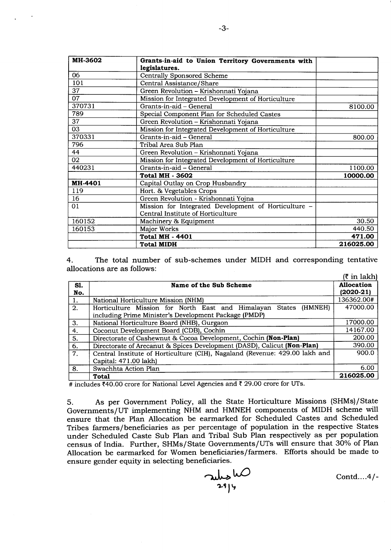| MH-3602 | Grants-in-aid to Union Territory Governments with    |           |
|---------|------------------------------------------------------|-----------|
|         | legislatures.                                        |           |
| 06      | Centrally Sponsored Scheme                           |           |
| 101     | Central Assistance/Share                             |           |
| 37      | Green Revolution - Krishonnati Yojana                |           |
| 07      | Mission for Integrated Development of Horticulture   |           |
| 370731  | Grants-in-aid - General                              | 8100.00   |
| 789     | Special Component Plan for Scheduled Castes          |           |
| 37      | Green Revolution - Krishonnati Yojana                |           |
| 03      | Mission for Integrated Development of Horticulture   |           |
| 370331  | Grants-in-aid - General                              | 800.00    |
| 796     | Tribal Area Sub Plan                                 |           |
| 44      | Green Revolution - Krishonnati Yojana                |           |
| 02      | Mission for Integrated Development of Horticulture   |           |
| 440231  | Grants-in-aid - General                              | 1100.00   |
|         | <b>Total MH - 3602</b>                               | 10000.00  |
| MH-4401 | Capital Outlay on Crop Husbandry                     |           |
| 119     | Hort. & Vegetables Crops                             |           |
| 16      | Green Revolution - Krishonnati Yojna                 |           |
| 01      | Mission for Integrated Development of Horticulture - |           |
|         | Central Institute of Horticulture                    |           |
| 160152  | Machinery & Equipment                                | 30.50     |
| 160153  | Major Works                                          | 440.50    |
|         | <b>Total MH - 4401</b>                               | 471.00    |
|         | <b>Total MIDH</b>                                    | 216025.00 |

4. The total number of sub-schemes under MIDH and corresponding tentative allocations are as follows:  $(7 in 10kh)$ 

|                  |                                                                             | $\prime$ III IGUAIL |
|------------------|-----------------------------------------------------------------------------|---------------------|
| SI.              | Name of the Sub Scheme                                                      |                     |
| No.              |                                                                             | $(2020-21)$         |
| 1.               | National Horticulture Mission (NHM)                                         | 136362.00#          |
| $\overline{2}$ . | (HMNEH)<br>Horticulture Mission for North East and Himalayan<br>States      | 47000.00            |
|                  | including Prime Minister's Development Package (PMDP)                       |                     |
| 3.               | National Horticulture Board (NHB), Gurgaon                                  | 17000.00            |
| 4.               | Coconut Development Board (CDB), Cochin                                     | 14167.00            |
| 5.               | Directorate of Cashewnut & Cocoa Development, Cochin (Non-Plan)             |                     |
| 6.               | Directorate of Arecanut & Spices Development (DASD), Calicut (Non-Plan)     |                     |
| 7.               | Central Institute of Horticulture (CIH), Nagaland (Revenue: 429.00 lakh and | 900.0               |
|                  | Capital: 471.00 lakh)                                                       |                     |
| 8.               | Swachhta Action Plan                                                        | 6.00                |
|                  | Total                                                                       | 216025.00           |

# includes  $*40.00$  crore for National Level Agencies and  $*29.00$  crore for UTs.

5. As per Government Policy, all the State Horticulture Missions (SHMs)/State Governments/UT implementing NHM and HMNEH components of MIDH scheme will ensure that the Plan Allocation be earmarked for Scheduled Castes and Scheduled Tribes farmers/benefrciaries as per percentage of population in the respective States under Scheduled Caste Sub Plan and Tribal Sub Plan respectively as per population census of India. Further, SHMs/State Governments/UTs will ensure that 30% of Plan Allocation be earmarked for Women benefrciaries/farmers. Efforts should be made to ensure gender equity in selecting beneficiaries.

 $Subsub$ 2914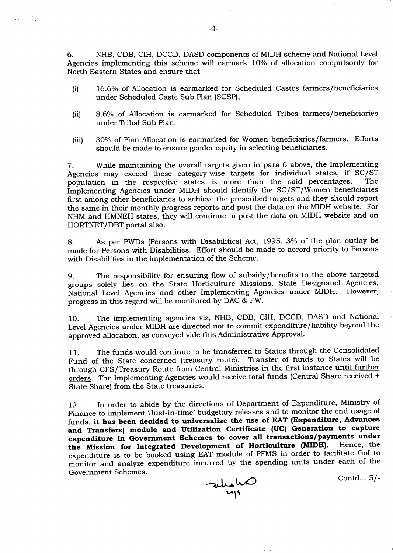6. NHB, CDB, CIH, DCCD, DASD components of MIDH scheme and National Level Agencies implementing this scheme will earmark 10% of allocation compulsorily for North Eastern States and ensure that -

- 16.60/o of Allocation is earmarked for Scheduled Castes farmers/beneficiaries under Scheduled Caste Sub Plan (SCSP), (i)
- (ii) 8.60/o of Allocation is earmarked for Scheduled Tribes farmers/beneficiaries under Tribal Sub Plan.
- (iii) 3O% of Plan Allocation is earmarked for Women benefrciaries/farmers. Efforts should be made to ensure gender equity in selecting beneficiaries.

7. While maintaining the overall targets given in para 6 above, the Implementing Agencies may exceed these category-wise targets for individual states, if  $SC/ST$  nopulation in the respective states is more than the said percentages. The population in the respective states is more than the said percentages. Implementing Agencies under MIDH should identify the SC/ST/Women beneficiaries first among other beneficiaries to achieve the prescribed targets and they should report the same in their monthly progress reports and post the data on the MIDH website. For NHM and HMNEH states, they will continue to post the data on MIDH website and on HORTNET/DBT portal also.

8. As per PWDs (Persons with Disabilities) Act, 1995, 3% of the plan outlay be made for Persons with Disabilities. Effort should be made to accord priority to Persons with Disabilities in the implementation of the Scheme.

g. The responsibility for ensuring flow of subsidy/benefits to the above targeted groups solely lies on the State Horticulture Missions, State Designated Agencies,<br>National Level Agencies and other Implementing Agencies under MIDH. However, National Level Agencies and other Implementing Agencies under MIDH. progress in this regard will be monitored by DAC & FW.

10. The implementing agencies viz, NHB, CDB, CIH, DCCD, DASD and National Level Agencies under MIDH are directed not to commit expenditure/liability beyond the approved allocation, as conveyed vide this Administrative Approval.

11. The funds would continue to be transferred to States through the Consolidated Fund of the State concerned (treasury route). Transfer of funds to States will be through CFS/Treasury Route from Central Ministries in the first instance until further orders- The implementing Agencies would receive total funds (Central Share received <sup>+</sup> State Share) from the State treasuries.

L2. In order to abide by the directions of Department of Expenditure, Ministry of Finance to implement Uust-in-time'budgetary releases and to monitor the end usage of funds, it has been decided to universalize the use of EAT (Expenditure, Advances and Transfers) module and Utilization Certificate (UC) Generation to capture expenditure in Government Schemes to cover all transactions/payments under<br>the Mission for Integrated Development of Horticulture (MIDH). Hence, the the Mission for Integrated Development of Horticulture (MIDH). expenditure is to be booked using EAT module of PFMS in order to facilitate GoI to monitor and analyze expenditure incurred by the spending units under each of the Government Schemes.<br>
Contd....5/-

velis ho **.**<br>14م

 $\mathcal{F}_\mu$ 

 $\sim 10^{-1}$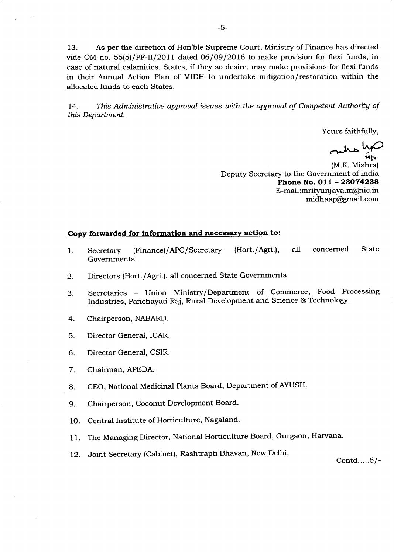13. As per the direction of Hon'ble Supreme Court, Ministry of Finance has directed vide OM no. 55(5)/PF-II/2O11 dated 06/09/2016 to make provision for flexi funds, in case of natural calamities. States, if they so desire, may make provisions for flexi funds in their Annual Action Plan of MIDH to undertake mitigation/restoration within the allocated funds to each States.

14. This Administrative approval issues with the approval of Competent Authority of this Department.

Yours faithfully,

 $m_{\text{max}}$ 

(M.K. Mishra) Deputy Secretary to the Government of India Phone No. 011 - 23074238 E-mail:mrityunjaya.m@nic.in midhaap@gmail.com

### Copy forwarded for information and necessary action to:

- 1. Secretary (Finance)/APC/Secretary (Hort./Agri.), al1 concerned State Governments.
- 2. Directors (Hort./Agri.), all concerned State Governments.
- 3. Secretaries Union Ministry/Department of Commerce, Food Processing Industries, Panchayati Raj, Rural Development and Science & Technology.
- 4. Chairperson, NABARD.
- 5. Director General, ICAR.
- 6. Director General, CSIR.
- 7. Chairman, APEDA.
- 8. CEO, National Medicinal Plants Board, Department of AYUSH.
- 9. Chairperson, Coconut Development Board.
- 10. Central Institute of Horticulture, Nagaland.
- 11. The Managing Director, National Horticulture Board, Gurgaon, Haryana.
- 12. Joint Secretary (Cabinet), Rashtrapti Bhavan, New Delhi.

Contd.....6/-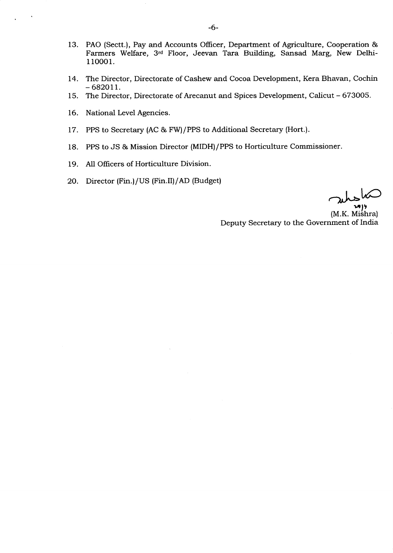- 13. PAO (Sectt.), Pay and Accounts Officer, Department of Agriculture, Cooperation & Farmers Welfare, 3<sup>rd</sup> Floor, Jeevan Tara Building, Sansad Marg, New Delhi-110001.
- 14. The Director, Directorate of Cashew and Cocoa Development, Kera Bhavan, Cochin  $-682011.$
- 15. The Director, Directorate of Arecanut and Spices Development, Calicut 673005.
- 16. National Level Agencies.
- 17. PPS to Secretary (AC & FW)/PPS to Additional Secretary (Hort.).
- 18. PPS to JS & Mission Director (MIDH)/PPS to Horticulture Commissioner.
- 19. All Officers of Horticulture Division.
- 20. Director (Fin.)/US (Fin.II)/AD (Budget)

action is

(M.K. Mishra) Deputy Secretary to the Government of India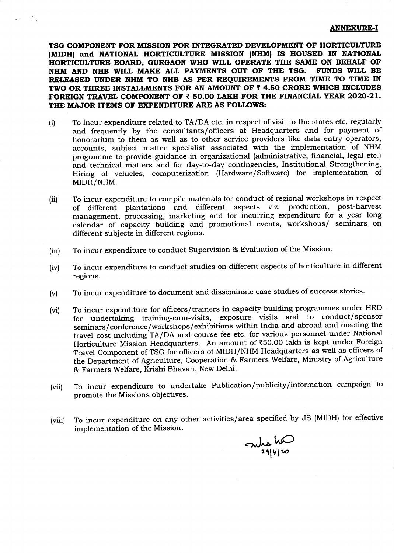### **ANNEXURE-I**

TSG COMPONENT FOR MISSION FOR INTBGRATED DEVELOPMENT OF HORTICULTURE (MIDH) and NATIONAL HORTICULTURE MISSION (NHM) IS HOUSED IN NATIONAL HORTICULTURE BOARD, GURGAON WHO WILL OPERATE THE SAME ON BEHALF OF<br>NHM AND NHB WILL MAKE ALL PAYMENTS OUT OF THE TSG. FUNDS WILL BE NHM AND NHB WILL MAKE ALL PAYMENTS OUT OF THE TSG. RELEASED UNDER NHM TO NHB AS PER REQUIREMENTS FROM TIME TO TIME IN TWO OR THREE INSTALLMENTS FOR AN AMOUNT OF  $\bar{\tau}$  4.50 CRORE WHICH INCLUDES FOREIGN TRAVEL COMPONENT OF T 5O.OO LAKH FOR THE FINANCIAL YEAR 2O2O.2L. THE MAJOR ITEMS OF EKPENDITURE ARE AS FOLLOWS:

 $\mathbf{r}$  and  $\mathbf{r}$  . The  $\mathbf{r}$ 

- (i) To incur expenditure related to TA/DA etc. in respect of visit to the states etc. regularly and frequently by the consultants/officers at Headquarters and for payment of honorarium to them as well as to other service providers like data entry operators, accounts, subject matter specialist associated with the implementation of NHM programme to provide guidance in organizational (administrative, financial, legal etc.) and technical matters and for day-to-day contingencies, Institutional Strengthening, Hiring of vehicles, computerization (Hardware/Software) for implementation of MIDH/NHM.
- (ii) To incur expenditure to compile materials for conduct of regional workshops in respect<br>of different plantations and different aspects viz. production, post-harvest of different plantations and different aspects viz. management, processing, marketing and for incurring expenditure for a year long calendar of capacity building and promotional events, workshops/ seminars on different subjects in different regions.
- (iii) To incur expenditure to conduct Superwision & Evaluation of the Mission.
- (iv) To incur expenditure to conduct studies on different aspects of horticulture in different regions.
- (v) To incur expenditure to document and disseminate case studies of success stories.
- (vi) To incur expenditure for officers/trainers in capacity building programmes under HRD for undertaking training-cum-visits, exposure visits and to conduct/sponsor seminars/conference/workshops/exhibitions within India and abroad and meeting the travel cost including TA/DA and course fee etc. for various personnel under National Horticulture Mission Headquarters. An amount of t50.OO lakh is kept under Foreign Travel Component of TSG for officers of MIDH/NHM Headquarters as well as officers of the Department of Agriculture, Cooperation & Farmers Welfare, Ministry of Agriculture & Farmers Welfare, Krishi Bhavan, New Delhi.
- (vii) To incur expenditure to undertake Publication/publicity/information campaign to promote the Missions objectives.
- (viii) To incur expenditure on any other activities/area specified by JS (MIDH) for effective implementation of the Mission.

 $L$ who has 211911€